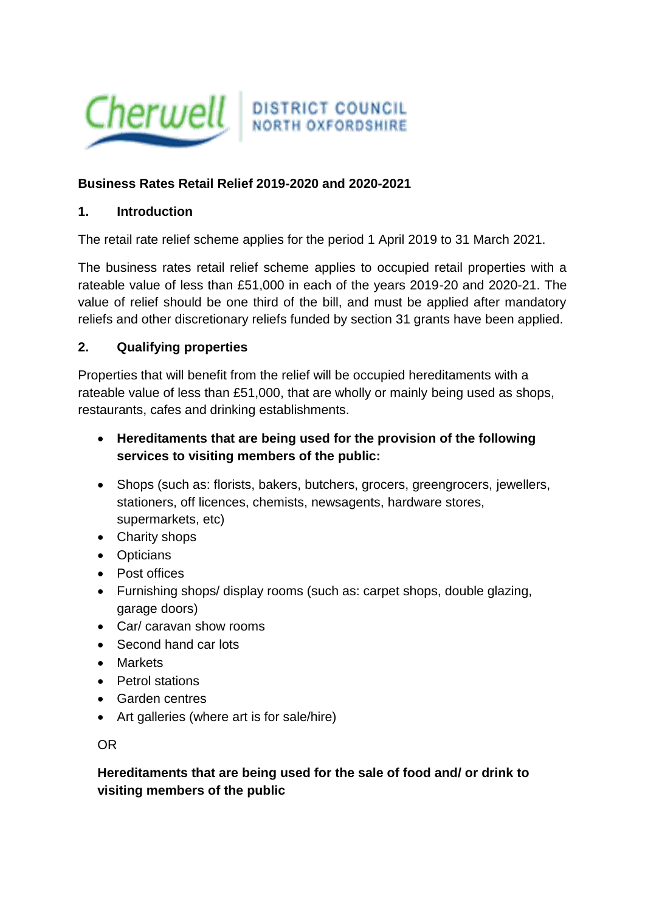

#### **Business Rates Retail Relief 2019-2020 and 2020-2021**

#### **1. Introduction**

The retail rate relief scheme applies for the period 1 April 2019 to 31 March 2021.

The business rates retail relief scheme applies to occupied retail properties with a rateable value of less than £51,000 in each of the years 2019-20 and 2020-21. The value of relief should be one third of the bill, and must be applied after mandatory reliefs and other discretionary reliefs funded by section 31 grants have been applied.

#### **2. Qualifying properties**

Properties that will benefit from the relief will be occupied hereditaments with a rateable value of less than £51,000, that are wholly or mainly being used as shops, restaurants, cafes and drinking establishments.

- **Hereditaments that are being used for the provision of the following services to visiting members of the public:**
- Shops (such as: florists, bakers, butchers, grocers, greengrocers, jewellers, stationers, off licences, chemists, newsagents, hardware stores, supermarkets, etc)
- Charity shops
- Opticians
- Post offices
- Furnishing shops/ display rooms (such as: carpet shops, double glazing, garage doors)
- Car/ caravan show rooms
- Second hand car lots
- Markets
- Petrol stations
- Garden centres
- Art galleries (where art is for sale/hire)

OR

#### **Hereditaments that are being used for the sale of food and/ or drink to visiting members of the public**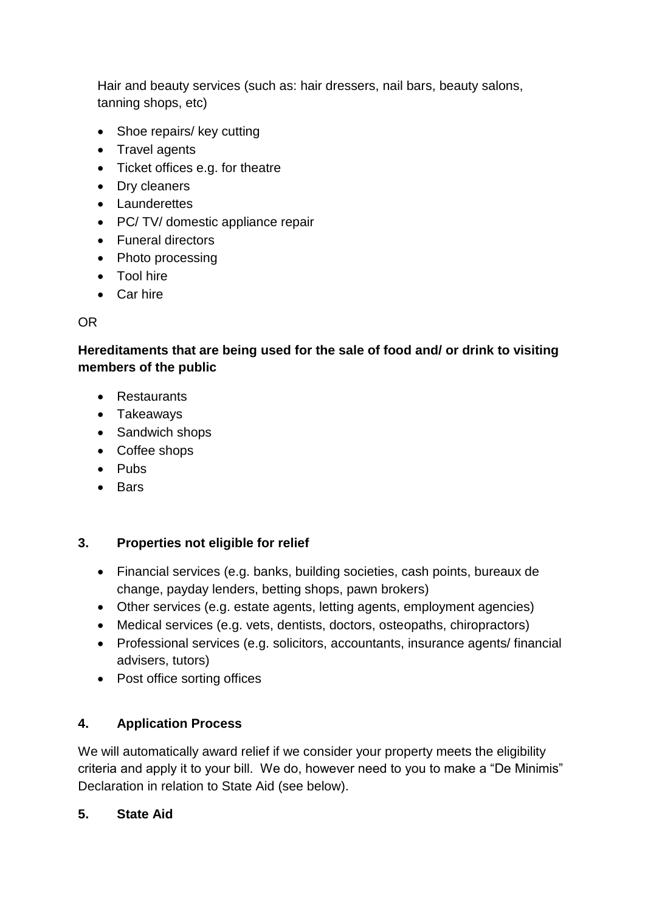Hair and beauty services (such as: hair dressers, nail bars, beauty salons, tanning shops, etc)

- Shoe repairs/ key cutting
- Travel agents
- Ticket offices e.g. for theatre
- Dry cleaners
- Launderettes
- PC/ TV/ domestic appliance repair
- Funeral directors
- Photo processing
- Tool hire
- Car hire

# OR

# **Hereditaments that are being used for the sale of food and/ or drink to visiting members of the public**

- Restaurants
- Takeaways
- Sandwich shops
- Coffee shops
- Pubs
- Bars

## **3. Properties not eligible for relief**

- Financial services (e.g. banks, building societies, cash points, bureaux de change, payday lenders, betting shops, pawn brokers)
- Other services (e.g. estate agents, letting agents, employment agencies)
- Medical services (e.g. vets, dentists, doctors, osteopaths, chiropractors)
- Professional services (e.g. solicitors, accountants, insurance agents/ financial advisers, tutors)
- Post office sorting offices

# **4. Application Process**

We will automatically award relief if we consider your property meets the eligibility criteria and apply it to your bill. We do, however need to you to make a "De Minimis" Declaration in relation to State Aid (see below).

## **5. State Aid**